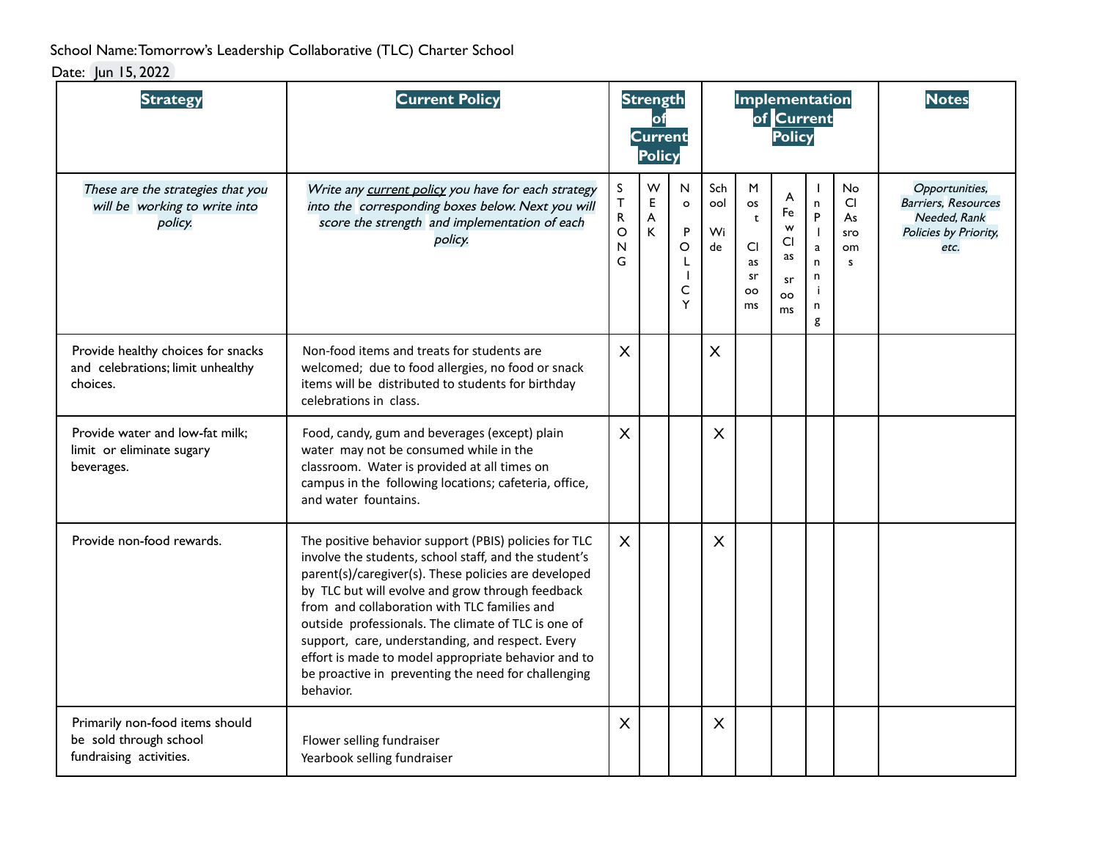School Name:Tomorrow's Leadership Collaborative (TLC) Charter School

Date: Jun 15, 2022

| <b>Strategy</b>                                                                      | <b>Current Policy</b>                                                                                                                                                                                                                                                                                                                                                                                                                                                                                            |                                                                | <b>Strength</b><br>of<br><b>Current</b><br><b>Policy</b> |                                                                       |                        | Implementation                                                            | of Current<br>Policy                              |                                                                                           |                                         | <b>Notes</b>                                                                                  |
|--------------------------------------------------------------------------------------|------------------------------------------------------------------------------------------------------------------------------------------------------------------------------------------------------------------------------------------------------------------------------------------------------------------------------------------------------------------------------------------------------------------------------------------------------------------------------------------------------------------|----------------------------------------------------------------|----------------------------------------------------------|-----------------------------------------------------------------------|------------------------|---------------------------------------------------------------------------|---------------------------------------------------|-------------------------------------------------------------------------------------------|-----------------------------------------|-----------------------------------------------------------------------------------------------|
| These are the strategies that you<br>will be working to write into<br>policy.        | Write any current policy you have for each strategy<br>into the corresponding boxes below. Next you will<br>score the strength and implementation of each<br>policy.                                                                                                                                                                                                                                                                                                                                             | $\sf S$<br>$\top$<br>${\sf R}$<br>$\circ$<br>$\mathsf{N}$<br>G | W<br>Е<br>A<br>K                                         | N<br>$\circ$<br>P<br>$\circ$<br>L<br>$\mathbf{I}$<br>$\mathsf C$<br>Y | Sch<br>ool<br>Wi<br>de | M<br><b>OS</b><br>$\mathbf t$<br><b>CI</b><br>as<br>sr<br><b>OO</b><br>ms | A<br>Fe<br>W<br>CI<br>as<br>sr<br><b>OO</b><br>ms | $\mathbf{I}$<br>$\mathsf{n}$<br>P<br>$\mathbf{I}$<br>$\mathbf a$<br>n<br>n<br>Ť<br>n<br>g | No<br><b>CI</b><br>As<br>sro<br>om<br>s | Opportunities,<br><b>Barriers, Resources</b><br>Needed. Rank<br>Policies by Priority,<br>etc. |
| Provide healthy choices for snacks<br>and celebrations; limit unhealthy<br>choices.  | Non-food items and treats for students are<br>welcomed; due to food allergies, no food or snack<br>items will be distributed to students for birthday<br>celebrations in class.                                                                                                                                                                                                                                                                                                                                  | X                                                              |                                                          |                                                                       | $\times$               |                                                                           |                                                   |                                                                                           |                                         |                                                                                               |
| Provide water and low-fat milk;<br>limit or eliminate sugary<br>beverages.           | Food, candy, gum and beverages (except) plain<br>water may not be consumed while in the<br>classroom. Water is provided at all times on<br>campus in the following locations; cafeteria, office,<br>and water fountains.                                                                                                                                                                                                                                                                                         | $\times$                                                       |                                                          |                                                                       | X                      |                                                                           |                                                   |                                                                                           |                                         |                                                                                               |
| Provide non-food rewards.                                                            | The positive behavior support (PBIS) policies for TLC<br>involve the students, school staff, and the student's<br>parent(s)/caregiver(s). These policies are developed<br>by TLC but will evolve and grow through feedback<br>from and collaboration with TLC families and<br>outside professionals. The climate of TLC is one of<br>support, care, understanding, and respect. Every<br>effort is made to model appropriate behavior and to<br>be proactive in preventing the need for challenging<br>behavior. | $\mathsf{X}$                                                   |                                                          |                                                                       | $\sf X$                |                                                                           |                                                   |                                                                                           |                                         |                                                                                               |
| Primarily non-food items should<br>be sold through school<br>fundraising activities. | Flower selling fundraiser<br>Yearbook selling fundraiser                                                                                                                                                                                                                                                                                                                                                                                                                                                         | $\sf X$                                                        |                                                          |                                                                       | X                      |                                                                           |                                                   |                                                                                           |                                         |                                                                                               |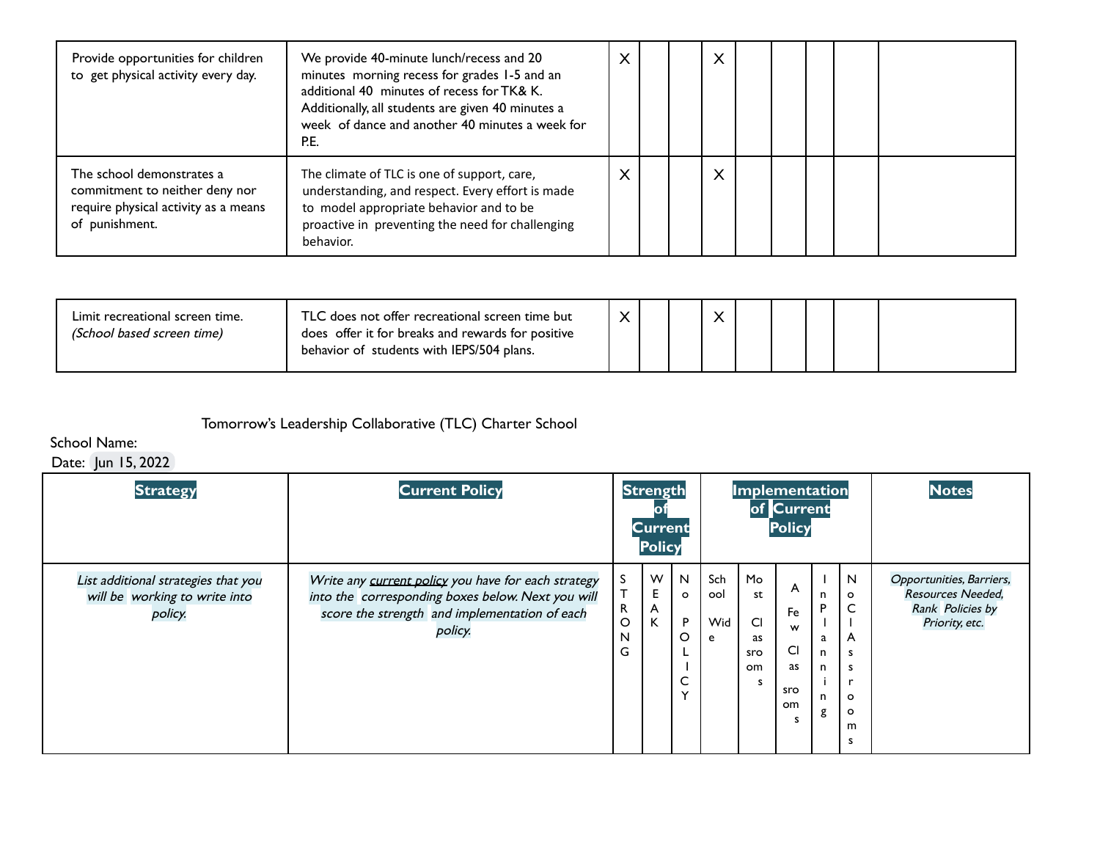| Provide opportunities for children<br>to get physical activity every day.                                             | We provide 40-minute lunch/recess and 20<br>minutes morning recess for grades 1-5 and an<br>additional 40 minutes of recess for TK& K.<br>Additionally, all students are given 40 minutes a<br>week of dance and another 40 minutes a week for<br>P.E. | $\times$ |  | X |  |  |  |
|-----------------------------------------------------------------------------------------------------------------------|--------------------------------------------------------------------------------------------------------------------------------------------------------------------------------------------------------------------------------------------------------|----------|--|---|--|--|--|
| The school demonstrates a<br>commitment to neither deny nor<br>require physical activity as a means<br>of punishment. | The climate of TLC is one of support, care,<br>understanding, and respect. Every effort is made<br>to model appropriate behavior and to be<br>proactive in preventing the need for challenging<br>behavior.                                            | X        |  | X |  |  |  |

| Limit recreational screen time.<br>(School based screen time) | TLC does not offer recreational screen time but<br>does offer it for breaks and rewards for positive<br>behavior of students with IEPS/504 plans. |  |  |  |  |  |
|---------------------------------------------------------------|---------------------------------------------------------------------------------------------------------------------------------------------------|--|--|--|--|--|
|                                                               |                                                                                                                                                   |  |  |  |  |  |

## Tomorrow's Leadership Collaborative (TLC) Charter School

## School Name:

## Date: Jun 15, 2022

| <b>Strategy</b>                                                                 | <b>Current Policy</b>                                                                                                                                                |                            | <b>Strength</b><br><b>Current</b><br><b>Policy</b> |                                             |                        |                                        | Implementation<br>of Current<br><b>Policy</b> |                                                       |                                                            | <b>Notes</b>                                                                        |
|---------------------------------------------------------------------------------|----------------------------------------------------------------------------------------------------------------------------------------------------------------------|----------------------------|----------------------------------------------------|---------------------------------------------|------------------------|----------------------------------------|-----------------------------------------------|-------------------------------------------------------|------------------------------------------------------------|-------------------------------------------------------------------------------------|
| List additional strategies that you<br>will be working to write into<br>policy. | Write any current policy you have for each strategy<br>into the corresponding boxes below. Next you will<br>score the strength and implementation of each<br>policy. | S<br>Т<br>R<br>O<br>N<br>G | W<br>Е<br>A<br>K                                   | N<br>$\circ$<br>P<br>O<br>◡<br>$\checkmark$ | Sch<br>ool<br>Wid<br>e | Mo<br>st<br>C1<br>as<br>sro<br>om<br>s | A<br>Fe<br>w<br>CI<br>as<br>sro<br>om<br>э    | n<br>P<br>a<br>$\mathsf{n}$<br>n<br>$\mathsf{n}$<br>g | N<br>$\circ$<br>C<br>A<br>s<br>s<br>$\circ$<br>o<br>m<br>S | Opportunities, Barriers,<br>Resources Needed,<br>Rank Policies by<br>Priority, etc. |